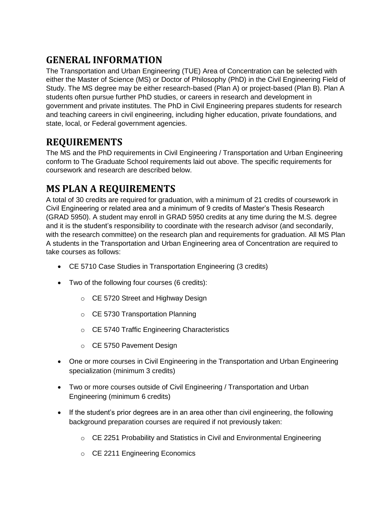# **GENERAL INFORMATION**

The Transportation and Urban Engineering (TUE) Area of Concentration can be selected with either the Master of Science (MS) or Doctor of Philosophy (PhD) in the Civil Engineering Field of Study. The MS degree may be either research-based (Plan A) or project-based (Plan B). Plan A students often pursue further PhD studies, or careers in research and development in government and private institutes. The PhD in Civil Engineering prepares students for research and teaching careers in civil engineering, including higher education, private foundations, and state, local, or Federal government agencies.

# **REQUIREMENTS**

The MS and the PhD requirements in Civil Engineering / Transportation and Urban Engineering conform to The Graduate School requirements laid out above. The specific requirements for coursework and research are described below.

# **MS PLAN A REQUIREMENTS**

A total of 30 credits are required for graduation, with a minimum of 21 credits of coursework in Civil Engineering or related area and a minimum of 9 credits of Master's Thesis Research (GRAD 5950). A student may enroll in GRAD 5950 credits at any time during the M.S. degree and it is the student's responsibility to coordinate with the research advisor (and secondarily, with the research committee) on the research plan and requirements for graduation. All MS Plan A students in the Transportation and Urban Engineering area of Concentration are required to take courses as follows:

- CE 5710 Case Studies in Transportation Engineering (3 credits)
- Two of the following four courses (6 credits):
	- o CE 5720 Street and Highway Design
	- o CE 5730 Transportation Planning
	- o CE 5740 Traffic Engineering Characteristics
	- o CE 5750 Pavement Design
- One or more courses in Civil Engineering in the Transportation and Urban Engineering specialization (minimum 3 credits)
- Two or more courses outside of Civil Engineering / Transportation and Urban Engineering (minimum 6 credits)
- If the student's prior degrees are in an area other than civil engineering, the following background preparation courses are required if not previously taken:
	- $\circ$  CE 2251 Probability and Statistics in Civil and Environmental Engineering
	- o CE 2211 Engineering Economics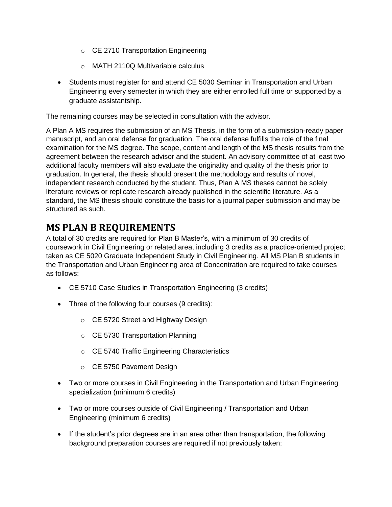- o CE 2710 Transportation Engineering
- o MATH 2110Q Multivariable calculus
- Students must register for and attend CE 5030 Seminar in Transportation and Urban Engineering every semester in which they are either enrolled full time or supported by a graduate assistantship.

The remaining courses may be selected in consultation with the advisor.

A Plan A MS requires the submission of an MS Thesis, in the form of a submission-ready paper manuscript, and an oral defense for graduation. The oral defense fulfills the role of the final examination for the MS degree. The scope, content and length of the MS thesis results from the agreement between the research advisor and the student. An advisory committee of at least two additional faculty members will also evaluate the originality and quality of the thesis prior to graduation. In general, the thesis should present the methodology and results of novel, independent research conducted by the student. Thus, Plan A MS theses cannot be solely literature reviews or replicate research already published in the scientific literature. As a standard, the MS thesis should constitute the basis for a journal paper submission and may be structured as such.

## **MS PLAN B REQUIREMENTS**

A total of 30 credits are required for Plan B Master's, with a minimum of 30 credits of coursework in Civil Engineering or related area, including 3 credits as a practice-oriented project taken as CE 5020 Graduate Independent Study in Civil Engineering. All MS Plan B students in the Transportation and Urban Engineering area of Concentration are required to take courses as follows:

- CE 5710 Case Studies in Transportation Engineering (3 credits)
- Three of the following four courses (9 credits):
	- o CE 5720 Street and Highway Design
	- o CE 5730 Transportation Planning
	- o CE 5740 Traffic Engineering Characteristics
	- o CE 5750 Pavement Design
- Two or more courses in Civil Engineering in the Transportation and Urban Engineering specialization (minimum 6 credits)
- Two or more courses outside of Civil Engineering / Transportation and Urban Engineering (minimum 6 credits)
- If the student's prior degrees are in an area other than transportation, the following background preparation courses are required if not previously taken: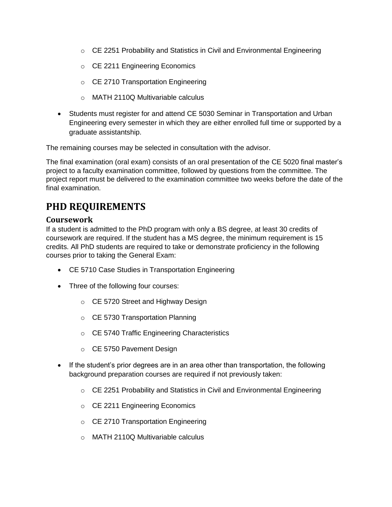- $\circ$  CE 2251 Probability and Statistics in Civil and Environmental Engineering
- o CE 2211 Engineering Economics
- o CE 2710 Transportation Engineering
- o MATH 2110Q Multivariable calculus
- Students must register for and attend CE 5030 Seminar in Transportation and Urban Engineering every semester in which they are either enrolled full time or supported by a graduate assistantship.

The remaining courses may be selected in consultation with the advisor.

The final examination (oral exam) consists of an oral presentation of the CE 5020 final master's project to a faculty examination committee, followed by questions from the committee. The project report must be delivered to the examination committee two weeks before the date of the final examination.

## **PHD REQUIREMENTS**

### **Coursework**

If a student is admitted to the PhD program with only a BS degree, at least 30 credits of coursework are required. If the student has a MS degree, the minimum requirement is 15 credits. All PhD students are required to take or demonstrate proficiency in the following courses prior to taking the General Exam:

- CE 5710 Case Studies in Transportation Engineering
- Three of the following four courses:
	- o CE 5720 Street and Highway Design
	- o CE 5730 Transportation Planning
	- o CE 5740 Traffic Engineering Characteristics
	- o CE 5750 Pavement Design
- If the student's prior degrees are in an area other than transportation, the following background preparation courses are required if not previously taken:
	- o CE 2251 Probability and Statistics in Civil and Environmental Engineering
	- o CE 2211 Engineering Economics
	- o CE 2710 Transportation Engineering
	- o MATH 2110Q Multivariable calculus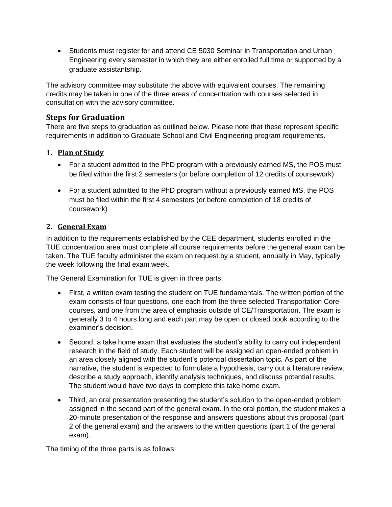• Students must register for and attend CE 5030 Seminar in Transportation and Urban Engineering every semester in which they are either enrolled full time or supported by a graduate assistantship.

The advisory committee may substitute the above with equivalent courses. The remaining credits may be taken in one of the three areas of concentration with courses selected in consultation with the advisory committee.

## **Steps for Graduation**

There are five steps to graduation as outlined below. Please note that these represent specific requirements in addition to Graduate School and Civil Engineering program requirements.

## **1. Plan of Study**

- For a student admitted to the PhD program with a previously earned MS, the POS must be filed within the first 2 semesters (or before completion of 12 credits of coursework)
- For a student admitted to the PhD program without a previously earned MS, the POS must be filed within the first 4 semesters (or before completion of 18 credits of coursework)

## **2. General Exam**

In addition to the requirements established by the CEE department, students enrolled in the TUE concentration area must complete all course requirements before the general exam can be taken. The TUE faculty administer the exam on request by a student, annually in May, typically the week following the final exam week.

The General Examination for TUE is given in three parts:

- First, a written exam testing the student on TUE fundamentals. The written portion of the exam consists of four questions, one each from the three selected Transportation Core courses, and one from the area of emphasis outside of CE/Transportation. The exam is generally 3 to 4 hours long and each part may be open or closed book according to the examiner's decision.
- Second, a take home exam that evaluates the student's ability to carry out independent research in the field of study. Each student will be assigned an open-ended problem in an area closely aligned with the student's potential dissertation topic. As part of the narrative, the student is expected to formulate a hypothesis, carry out a literature review, describe a study approach, identify analysis techniques, and discuss potential results. The student would have two days to complete this take home exam.
- Third, an oral presentation presenting the student's solution to the open-ended problem assigned in the second part of the general exam. In the oral portion, the student makes a 20-minute presentation of the response and answers questions about this proposal (part 2 of the general exam) and the answers to the written questions (part 1 of the general exam).

The timing of the three parts is as follows: